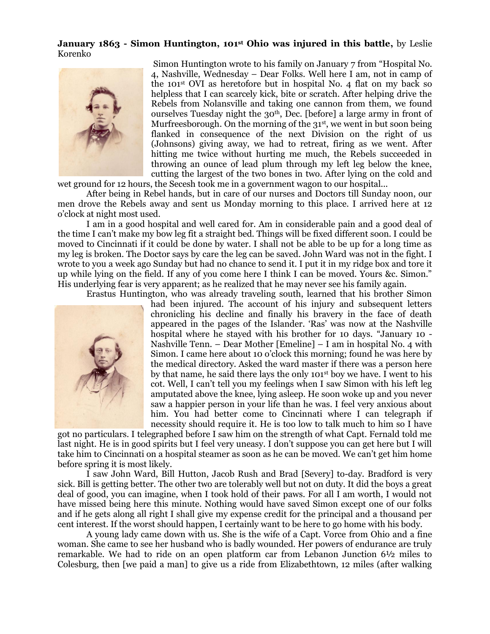## **January 1863 - Simon Huntington, 101st Ohio was injured in this battle,** by Leslie Korenko



Simon Huntington wrote to his family on January 7 from "Hospital No. 4, Nashville, Wednesday – Dear Folks. Well here I am, not in camp of the 101st OVI as heretofore but in hospital No. 4 flat on my back so helpless that I can scarcely kick, bite or scratch. After helping drive the Rebels from Nolansville and taking one cannon from them, we found ourselves Tuesday night the 30<sup>th</sup>, Dec. [before] a large army in front of Murfreesborough. On the morning of the  $31<sup>st</sup>$ , we went in but soon being flanked in consequence of the next Division on the right of us (Johnsons) giving away, we had to retreat, firing as we went. After hitting me twice without hurting me much, the Rebels succeeded in throwing an ounce of lead plum through my left leg below the knee, cutting the largest of the two bones in two. After lying on the cold and

wet ground for 12 hours, the Secesh took me in a government wagon to our hospital...

After being in Rebel hands, but in care of our nurses and Doctors till Sunday noon, our men drove the Rebels away and sent us Monday morning to this place. I arrived here at 12 o'clock at night most used.

I am in a good hospital and well cared for. Am in considerable pain and a good deal of the time I can't make my bow leg fit a straight bed. Things will be fixed different soon. I could be moved to Cincinnati if it could be done by water. I shall not be able to be up for a long time as my leg is broken. The Doctor says by care the leg can be saved. John Ward was not in the fight. I wrote to you a week ago Sunday but had no chance to send it. I put it in my ridge box and tore it up while lying on the field. If any of you come here I think I can be moved. Yours &c. Simon." His underlying fear is very apparent; as he realized that he may never see his family again.

Erastus Huntington, who was already traveling south, learned that his brother Simon



had been injured. The account of his injury and subsequent letters chronicling his decline and finally his bravery in the face of death appeared in the pages of the Islander. 'Ras' was now at the Nashville hospital where he stayed with his brother for 10 days. "January 10 - Nashville Tenn. – Dear Mother [Emeline] – I am in hospital No. 4 with Simon. I came here about 10 o'clock this morning; found he was here by the medical directory. Asked the ward master if there was a person here by that name, he said there lays the only 101st boy we have. I went to his cot. Well, I can't tell you my feelings when I saw Simon with his left leg amputated above the knee, lying asleep. He soon woke up and you never saw a happier person in your life than he was. I feel very anxious about him. You had better come to Cincinnati where I can telegraph if necessity should require it. He is too low to talk much to him so I have

got no particulars. I telegraphed before I saw him on the strength of what Capt. Fernald told me last night. He is in good spirits but I feel very uneasy. I don't suppose you can get here but I will take him to Cincinnati on a hospital steamer as soon as he can be moved. We can't get him home before spring it is most likely.

I saw John Ward, Bill Hutton, Jacob Rush and Brad [Severy] to-day. Bradford is very sick. Bill is getting better. The other two are tolerably well but not on duty. It did the boys a great deal of good, you can imagine, when I took hold of their paws. For all I am worth, I would not have missed being here this minute. Nothing would have saved Simon except one of our folks and if he gets along all right I shall give my expense credit for the principal and a thousand per cent interest. If the worst should happen, I certainly want to be here to go home with his body.

A young lady came down with us. She is the wife of a Capt. Vorce from Ohio and a fine woman. She came to see her husband who is badly wounded. Her powers of endurance are truly remarkable. We had to ride on an open platform car from Lebanon Junction 6½ miles to Colesburg, then [we paid a man] to give us a ride from Elizabethtown, 12 miles (after walking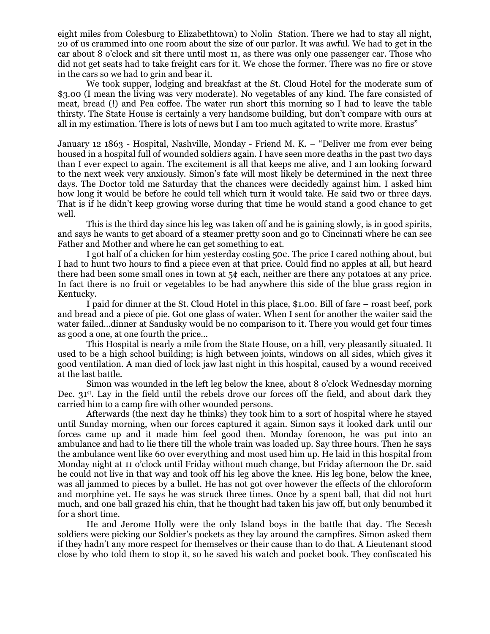eight miles from Colesburg to Elizabethtown) to Nolin Station. There we had to stay all night, 20 of us crammed into one room about the size of our parlor. It was awful. We had to get in the car about 8 o'clock and sit there until most 11, as there was only one passenger car. Those who did not get seats had to take freight cars for it. We chose the former. There was no fire or stove in the cars so we had to grin and bear it.

We took supper, lodging and breakfast at the St. Cloud Hotel for the moderate sum of \$3.00 (I mean the living was very moderate). No vegetables of any kind. The fare consisted of meat, bread (!) and Pea coffee. The water run short this morning so I had to leave the table thirsty. The State House is certainly a very handsome building, but don't compare with ours at all in my estimation. There is lots of news but I am too much agitated to write more. Erastus"

January 12 1863 - Hospital, Nashville, Monday - Friend M. K. – "Deliver me from ever being housed in a hospital full of wounded soldiers again. I have seen more deaths in the past two days than I ever expect to again. The excitement is all that keeps me alive, and I am looking forward to the next week very anxiously. Simon's fate will most likely be determined in the next three days. The Doctor told me Saturday that the chances were decidedly against him. I asked him how long it would be before he could tell which turn it would take. He said two or three days. That is if he didn't keep growing worse during that time he would stand a good chance to get well.

This is the third day since his leg was taken off and he is gaining slowly, is in good spirits, and says he wants to get aboard of a steamer pretty soon and go to Cincinnati where he can see Father and Mother and where he can get something to eat.

I got half of a chicken for him yesterday costing 50¢. The price I cared nothing about, but I had to hunt two hours to find a piece even at that price. Could find no apples at all, but heard there had been some small ones in town at 5¢ each, neither are there any potatoes at any price. In fact there is no fruit or vegetables to be had anywhere this side of the blue grass region in Kentucky.

I paid for dinner at the St. Cloud Hotel in this place, \$1.00. Bill of fare – roast beef, pork and bread and a piece of pie. Got one glass of water. When I sent for another the waiter said the water failed…dinner at Sandusky would be no comparison to it. There you would get four times as good a one, at one fourth the price…

This Hospital is nearly a mile from the State House, on a hill, very pleasantly situated. It used to be a high school building; is high between joints, windows on all sides, which gives it good ventilation. A man died of lock jaw last night in this hospital, caused by a wound received at the last battle.

Simon was wounded in the left leg below the knee, about 8 o'clock Wednesday morning Dec. 31st. Lay in the field until the rebels drove our forces off the field, and about dark they carried him to a camp fire with other wounded persons.

Afterwards (the next day he thinks) they took him to a sort of hospital where he stayed until Sunday morning, when our forces captured it again. Simon says it looked dark until our forces came up and it made him feel good then. Monday forenoon, he was put into an ambulance and had to lie there till the whole train was loaded up. Say three hours. Then he says the ambulance went like 60 over everything and most used him up. He laid in this hospital from Monday night at 11 o'clock until Friday without much change, but Friday afternoon the Dr. said he could not live in that way and took off his leg above the knee. His leg bone, below the knee, was all jammed to pieces by a bullet. He has not got over however the effects of the chloroform and morphine yet. He says he was struck three times. Once by a spent ball, that did not hurt much, and one ball grazed his chin, that he thought had taken his jaw off, but only benumbed it for a short time.

He and Jerome Holly were the only Island boys in the battle that day. The Secesh soldiers were picking our Soldier's pockets as they lay around the campfires. Simon asked them if they hadn't any more respect for themselves or their cause than to do that. A Lieutenant stood close by who told them to stop it, so he saved his watch and pocket book. They confiscated his